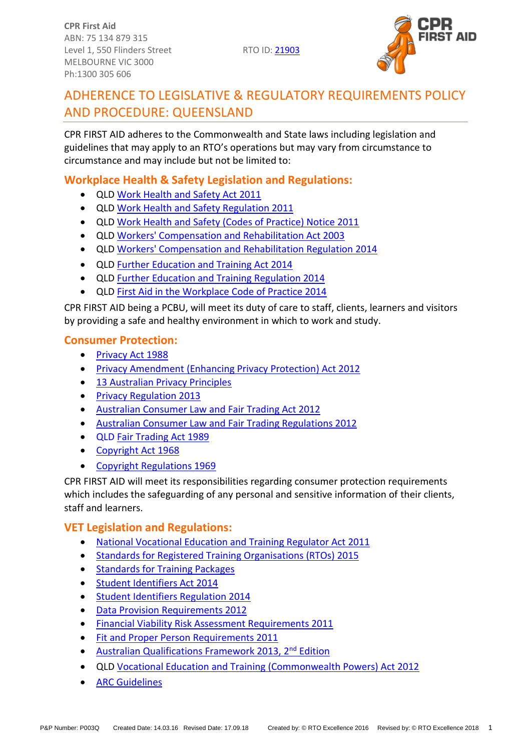**CPR First Aid** ABN: 75 134 879 315 Level 1, 550 Flinders Street RTO ID: 21903 MELBOURNE VIC 3000 Ph:1300 305 606



# ADHERENCE TO LEGISLATIVE & REGULATORY REQUIREMENTS POLICY AND PROCEDURE: QUEENSLAND

CPR FIRST AID adheres to the Commonwealth and State laws including legislation and guidelines that may apply to an RTO's operations but may vary from circumstance to circumstance and may include but not be limited to:

# **Workplace Health & Safety Legislation and Regulations:**

- QLD [Work Health and Safety Act 2011](https://www.legislation.qld.gov.au/view/html/inforce/current/act-2011-018)
- QLD [Work Health and Safety Regulation 2011](https://www.legislation.qld.gov.au/view/html/inforce/current/sl-2011-0240)
- QLD [Work Health and Safety \(Codes of Practice\) Notice 2011](https://www.legislation.qld.gov.au/view/html/inforce/current/sl-2011-0260)
- QLD [Workers' Compensation and Rehabilitation Act 2003](https://www.legislation.qld.gov.au/view/html/inforce/current/act-2003-027)
- QLD [Workers' Compensation and Rehabilitation Regulation 2014](https://www.legislation.qld.gov.au/view/html/inforce/current/sl-2014-0189)
- QLD [Further Education and Training Act 2014](https://www.legislation.qld.gov.au/view/html/inforce/current/act-2014-025)
- QLD [Further Education and Training Regulation 2014](https://www.legislation.qld.gov.au/view/html/inforce/current/sl-2014-0103)
- QLD [First Aid in the Workplace Code of Practice 2014](https://www.worksafe.qld.gov.au/__data/assets/pdf_file/0004/58162/First-aid-in-the-workplace-COP-2014.pdf)

CPR FIRST AID being a PCBU, will meet its duty of care to staff, clients, learners and visitors by providing a safe and healthy environment in which to work and study.

## **Consumer Protection:**

- [Privacy Act 1988](https://www.legislation.gov.au/Series/C2004A03712)
- [Privacy Amendment \(Enhancing Privacy Protection\) Act 2012](https://www.legislation.gov.au/Details/C2015C00053)
- [13 Australian Privacy Principles](http://www.oaic.gov.au/individuals/privacy-fact-sheets/general/privacy-fact-sheet-17-australian-privacy-principles)
- [Privacy Regulation 2013](https://www.legislation.gov.au/Details/F2018C00011)
- [Australian Consumer Law and Fair Trading Act 2012](http://www.legislation.vic.gov.au/Domino/Web_Notes/LDMS/PubStatbook.nsf/f932b66241ecf1b7ca256e92000e23be/a7a06c0b33b7f723ca2579f80018c9f2/$FILE/12-021abookmarked.pdf)
- [Australian Consumer Law and Fair Trading Regulations 2012](http://www.austlii.edu.au/au/legis/vic/consol_reg/aclaftr2012481/notes.html)
- QLD [Fair Trading Act 1989](https://www.legislation.qld.gov.au/view/html/inforce/current/act-1989-084)
- [Copyright Act 1968](https://www.legislation.gov.au/Details/C2018C00371)
- [Copyright Regulations 1969](https://www.legislation.gov.au/Details/F2017L01649)

CPR FIRST AID will meet its responsibilities regarding consumer protection requirements which includes the safeguarding of any personal and sensitive information of their clients, staff and learners.

## **VET Legislation and Regulations:**

- [National Vocational Education and Training Regulator Act 2011](https://www.legislation.gov.au/Details/C2017C00245)
- [Standards for Registered Training Organisations \(RTOs\) 2015](https://www.legislation.gov.au/Details/F2017C00663)
- [Standards for Training Packages](https://docs.education.gov.au/system/files/doc/other/standardsfortrainingpackages.pdf)
- [Student Identifiers Act 2014](https://www.legislation.gov.au/Details/C2017C00038)
- [Student Identifiers Regulation 2014](http://www.comlaw.gov.au/Details/F2014L01204)
- [Data Provision Requirements 2012](http://www.comlaw.gov.au/Details/F2013C00497)
- [Financial Viability Risk Assessment Requirements 2011](https://www.legislation.gov.au/Series/F2011L01405)
- [Fit and Proper Person Requirements 2011](https://www.legislation.gov.au/Series/F2011L01341)
- [Australian Qualifications Framework 2013, 2](https://www.aqf.edu.au/aqf-second-edition-january-2013)<sup>nd</sup> Edition
- QLD [Vocational Education and Training \(Commonwealth Powers\) Act 2012](https://www.legislation.qld.gov.au/view/whole/html/inforce/current/act-2012-011)
- **[ARC Guidelines](http://resus.org.au/guidelines/)**